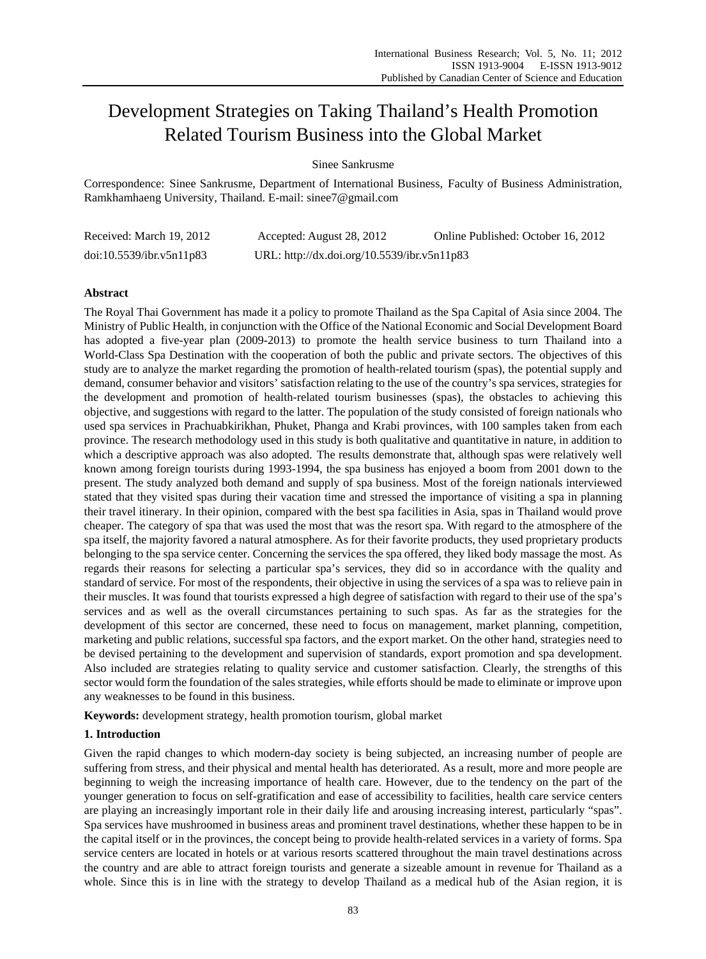# Development Strategies on Taking Thailand's Health Promotion Related Tourism Business into the Global Market

# Sinee Sankrusme

Correspondence: Sinee Sankrusme, Department of International Business, Faculty of Business Administration, Ramkhamhaeng University, Thailand. E-mail: sinee7@gmail.com

| Received: March 19, 2012 | Accepted: August 28, 2012                   | Online Published: October 16, 2012 |
|--------------------------|---------------------------------------------|------------------------------------|
| doi:10.5539/ibr.v5n11p83 | URL: http://dx.doi.org/10.5539/ibr.v5n11p83 |                                    |

## **Abstract**

The Royal Thai Government has made it a policy to promote Thailand as the Spa Capital of Asia since 2004. The Ministry of Public Health, in conjunction with the Office of the National Economic and Social Development Board has adopted a five-year plan (2009-2013) to promote the health service business to turn Thailand into a World-Class Spa Destination with the cooperation of both the public and private sectors. The objectives of this study are to analyze the market regarding the promotion of health-related tourism (spas), the potential supply and demand, consumer behavior and visitors' satisfaction relating to the use of the country's spa services, strategies for the development and promotion of health-related tourism businesses (spas), the obstacles to achieving this objective, and suggestions with regard to the latter. The population of the study consisted of foreign nationals who used spa services in Prachuabkirikhan, Phuket, Phanga and Krabi provinces, with 100 samples taken from each province. The research methodology used in this study is both qualitative and quantitative in nature, in addition to which a descriptive approach was also adopted. The results demonstrate that, although spas were relatively well known among foreign tourists during 1993-1994, the spa business has enjoyed a boom from 2001 down to the present. The study analyzed both demand and supply of spa business. Most of the foreign nationals interviewed stated that they visited spas during their vacation time and stressed the importance of visiting a spa in planning their travel itinerary. In their opinion, compared with the best spa facilities in Asia, spas in Thailand would prove cheaper. The category of spa that was used the most that was the resort spa. With regard to the atmosphere of the spa itself, the majority favored a natural atmosphere. As for their favorite products, they used proprietary products belonging to the spa service center. Concerning the services the spa offered, they liked body massage the most. As regards their reasons for selecting a particular spa's services, they did so in accordance with the quality and standard of service. For most of the respondents, their objective in using the services of a spa was to relieve pain in their muscles. It was found that tourists expressed a high degree of satisfaction with regard to their use of the spa's services and as well as the overall circumstances pertaining to such spas. As far as the strategies for the development of this sector are concerned, these need to focus on management, market planning, competition, marketing and public relations, successful spa factors, and the export market. On the other hand, strategies need to be devised pertaining to the development and supervision of standards, export promotion and spa development. Also included are strategies relating to quality service and customer satisfaction. Clearly, the strengths of this sector would form the foundation of the sales strategies, while efforts should be made to eliminate or improve upon any weaknesses to be found in this business.

**Keywords:** development strategy, health promotion tourism, global market

## **1. Introduction**

Given the rapid changes to which modern-day society is being subjected, an increasing number of people are suffering from stress, and their physical and mental health has deteriorated. As a result, more and more people are beginning to weigh the increasing importance of health care. However, due to the tendency on the part of the younger generation to focus on self-gratification and ease of accessibility to facilities, health care service centers are playing an increasingly important role in their daily life and arousing increasing interest, particularly "spas". Spa services have mushroomed in business areas and prominent travel destinations, whether these happen to be in the capital itself or in the provinces, the concept being to provide health-related services in a variety of forms. Spa service centers are located in hotels or at various resorts scattered throughout the main travel destinations across the country and are able to attract foreign tourists and generate a sizeable amount in revenue for Thailand as a whole. Since this is in line with the strategy to develop Thailand as a medical hub of the Asian region, it is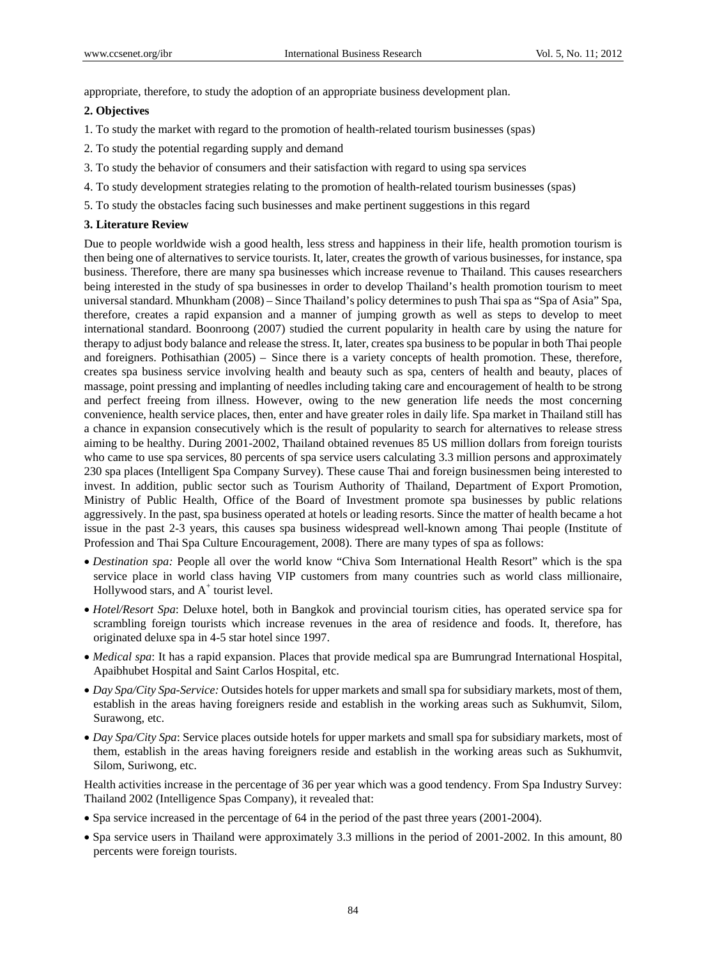appropriate, therefore, to study the adoption of an appropriate business development plan.

## **2. Objectives**

- 1. To study the market with regard to the promotion of health-related tourism businesses (spas)
- 2. To study the potential regarding supply and demand
- 3. To study the behavior of consumers and their satisfaction with regard to using spa services
- 4. To study development strategies relating to the promotion of health-related tourism businesses (spas)
- 5. To study the obstacles facing such businesses and make pertinent suggestions in this regard

#### **3. Literature Review**

Due to people worldwide wish a good health, less stress and happiness in their life, health promotion tourism is then being one of alternatives to service tourists. It, later, creates the growth of various businesses, for instance, spa business. Therefore, there are many spa businesses which increase revenue to Thailand. This causes researchers being interested in the study of spa businesses in order to develop Thailand's health promotion tourism to meet universal standard. Mhunkham (2008) – Since Thailand's policy determines to push Thai spa as "Spa of Asia" Spa, therefore, creates a rapid expansion and a manner of jumping growth as well as steps to develop to meet international standard. Boonroong (2007) studied the current popularity in health care by using the nature for therapy to adjust body balance and release the stress. It, later, creates spa business to be popular in both Thai people and foreigners. Pothisathian (2005) – Since there is a variety concepts of health promotion. These, therefore, creates spa business service involving health and beauty such as spa, centers of health and beauty, places of massage, point pressing and implanting of needles including taking care and encouragement of health to be strong and perfect freeing from illness. However, owing to the new generation life needs the most concerning convenience, health service places, then, enter and have greater roles in daily life. Spa market in Thailand still has a chance in expansion consecutively which is the result of popularity to search for alternatives to release stress aiming to be healthy. During 2001-2002, Thailand obtained revenues 85 US million dollars from foreign tourists who came to use spa services, 80 percents of spa service users calculating 3.3 million persons and approximately 230 spa places (Intelligent Spa Company Survey). These cause Thai and foreign businessmen being interested to invest. In addition, public sector such as Tourism Authority of Thailand, Department of Export Promotion, Ministry of Public Health, Office of the Board of Investment promote spa businesses by public relations aggressively. In the past, spa business operated at hotels or leading resorts. Since the matter of health became a hot issue in the past 2-3 years, this causes spa business widespread well-known among Thai people (Institute of Profession and Thai Spa Culture Encouragement, 2008). There are many types of spa as follows:

- *Destination spa:* People all over the world know "Chiva Som International Health Resort" which is the spa service place in world class having VIP customers from many countries such as world class millionaire, Hollywood stars, and  $A^+$  tourist level.
- *Hotel/Resort Spa*: Deluxe hotel, both in Bangkok and provincial tourism cities, has operated service spa for scrambling foreign tourists which increase revenues in the area of residence and foods. It, therefore, has originated deluxe spa in 4-5 star hotel since 1997.
- *Medical spa*: It has a rapid expansion. Places that provide medical spa are Bumrungrad International Hospital, Apaibhubet Hospital and Saint Carlos Hospital, etc.
- *Day Spa/City Spa-Service:* Outsides hotels for upper markets and small spa for subsidiary markets, most of them, establish in the areas having foreigners reside and establish in the working areas such as Sukhumvit, Silom, Surawong, etc.
- *Day Spa/City Spa*: Service places outside hotels for upper markets and small spa for subsidiary markets, most of them, establish in the areas having foreigners reside and establish in the working areas such as Sukhumvit, Silom, Suriwong, etc.

Health activities increase in the percentage of 36 per year which was a good tendency. From Spa Industry Survey: Thailand 2002 (Intelligence Spas Company), it revealed that:

- Spa service increased in the percentage of 64 in the period of the past three years (2001-2004).
- Spa service users in Thailand were approximately 3.3 millions in the period of 2001-2002. In this amount, 80 percents were foreign tourists.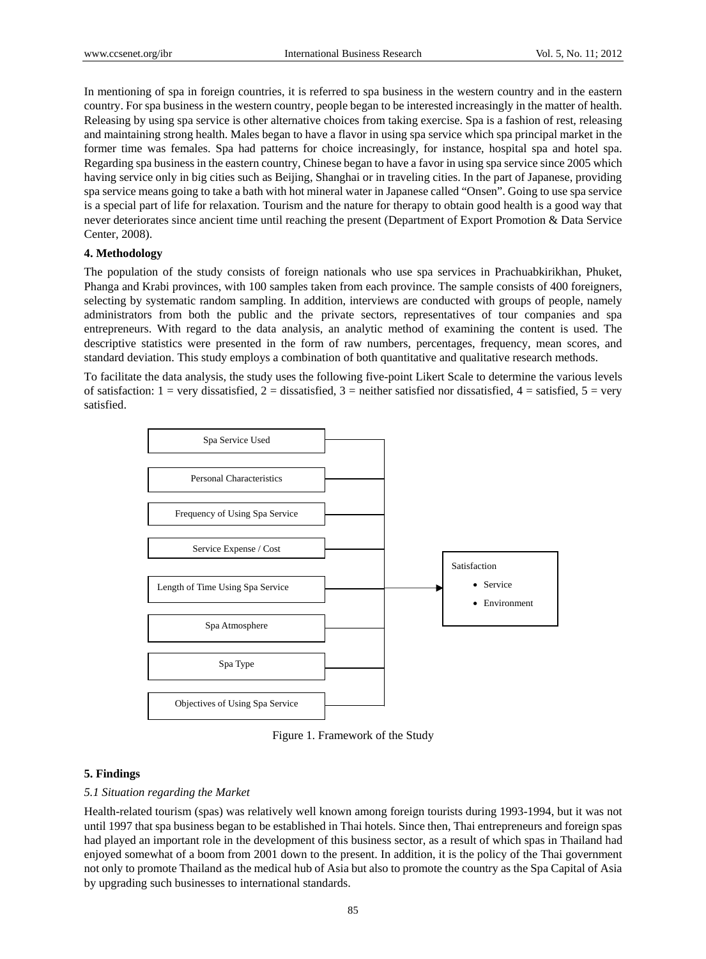In mentioning of spa in foreign countries, it is referred to spa business in the western country and in the eastern country. For spa business in the western country, people began to be interested increasingly in the matter of health. Releasing by using spa service is other alternative choices from taking exercise. Spa is a fashion of rest, releasing and maintaining strong health. Males began to have a flavor in using spa service which spa principal market in the former time was females. Spa had patterns for choice increasingly, for instance, hospital spa and hotel spa. Regarding spa business in the eastern country, Chinese began to have a favor in using spa service since 2005 which having service only in big cities such as Beijing, Shanghai or in traveling cities. In the part of Japanese, providing spa service means going to take a bath with hot mineral water in Japanese called "Onsen". Going to use spa service is a special part of life for relaxation. Tourism and the nature for therapy to obtain good health is a good way that never deteriorates since ancient time until reaching the present (Department of Export Promotion & Data Service Center, 2008).

## **4. Methodology**

The population of the study consists of foreign nationals who use spa services in Prachuabkirikhan, Phuket, Phanga and Krabi provinces, with 100 samples taken from each province. The sample consists of 400 foreigners, selecting by systematic random sampling. In addition, interviews are conducted with groups of people, namely administrators from both the public and the private sectors, representatives of tour companies and spa entrepreneurs. With regard to the data analysis, an analytic method of examining the content is used. The descriptive statistics were presented in the form of raw numbers, percentages, frequency, mean scores, and standard deviation. This study employs a combination of both quantitative and qualitative research methods.

To facilitate the data analysis, the study uses the following five-point Likert Scale to determine the various levels of satisfaction:  $1 = \text{very dissatisfied}, 2 = \text{dissatisfied}, 3 = \text{neither satisfied}$  nor dissatisfied,  $4 = \text{satisfied}, 5 = \text{very}$ satisfied.



Figure 1. Framework of the Study

## **5. Findings**

#### *5.1 Situation regarding the Market*

Health-related tourism (spas) was relatively well known among foreign tourists during 1993-1994, but it was not until 1997 that spa business began to be established in Thai hotels. Since then, Thai entrepreneurs and foreign spas had played an important role in the development of this business sector, as a result of which spas in Thailand had enjoyed somewhat of a boom from 2001 down to the present. In addition, it is the policy of the Thai government not only to promote Thailand as the medical hub of Asia but also to promote the country as the Spa Capital of Asia by upgrading such businesses to international standards.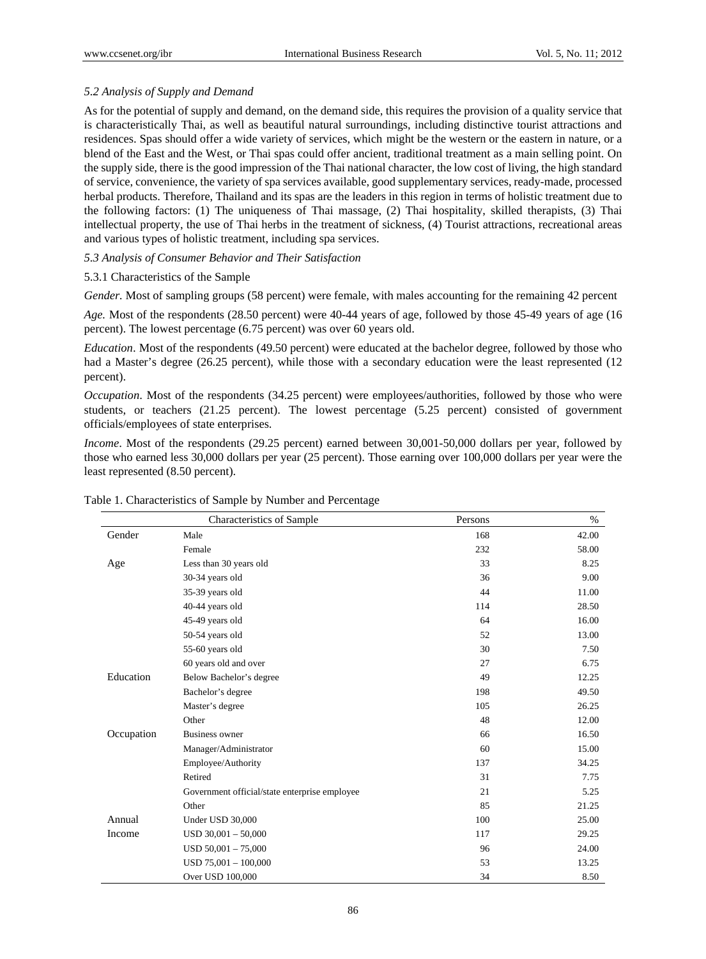## *5.2 Analysis of Supply and Demand*

As for the potential of supply and demand, on the demand side, this requires the provision of a quality service that is characteristically Thai, as well as beautiful natural surroundings, including distinctive tourist attractions and residences. Spas should offer a wide variety of services, which might be the western or the eastern in nature, or a blend of the East and the West, or Thai spas could offer ancient, traditional treatment as a main selling point. On the supply side, there is the good impression of the Thai national character, the low cost of living, the high standard of service, convenience, the variety of spa services available, good supplementary services, ready-made, processed herbal products. Therefore, Thailand and its spas are the leaders in this region in terms of holistic treatment due to the following factors: (1) The uniqueness of Thai massage, (2) Thai hospitality, skilled therapists, (3) Thai intellectual property, the use of Thai herbs in the treatment of sickness, (4) Tourist attractions, recreational areas and various types of holistic treatment, including spa services.

# *5.3 Analysis of Consumer Behavior and Their Satisfaction*

#### 5.3.1 Characteristics of the Sample

*Gender.* Most of sampling groups (58 percent) were female, with males accounting for the remaining 42 percent

*Age.* Most of the respondents (28.50 percent) were 40-44 years of age, followed by those 45-49 years of age (16 percent). The lowest percentage (6.75 percent) was over 60 years old.

*Education*. Most of the respondents (49.50 percent) were educated at the bachelor degree, followed by those who had a Master's degree (26.25 percent), while those with a secondary education were the least represented (12 percent).

*Occupation*. Most of the respondents (34.25 percent) were employees/authorities, followed by those who were students, or teachers (21.25 percent). The lowest percentage (5.25 percent) consisted of government officials/employees of state enterprises.

*Income*. Most of the respondents (29.25 percent) earned between 30,001-50,000 dollars per year, followed by those who earned less 30,000 dollars per year (25 percent). Those earning over 100,000 dollars per year were the least represented (8.50 percent).

|            | Characteristics of Sample                     | Persons | $\%$  |
|------------|-----------------------------------------------|---------|-------|
| Gender     | Male                                          | 168     | 42.00 |
|            | Female                                        | 232     | 58.00 |
| Age        | Less than 30 years old                        | 33      | 8.25  |
|            | 30-34 years old                               | 36      | 9.00  |
|            | 35-39 years old                               | 44      | 11.00 |
|            | 40-44 years old                               | 114     | 28.50 |
|            | 45-49 years old                               | 64      | 16.00 |
|            | 50-54 years old                               | 52      | 13.00 |
|            | 55-60 years old                               | 30      | 7.50  |
|            | 60 years old and over                         | 27      | 6.75  |
| Education  | Below Bachelor's degree                       | 49      | 12.25 |
|            | Bachelor's degree                             | 198     | 49.50 |
|            | Master's degree                               | 105     | 26.25 |
|            | Other                                         | 48      | 12.00 |
| Occupation | <b>Business owner</b>                         | 66      | 16.50 |
|            | Manager/Administrator                         | 60      | 15.00 |
|            | Employee/Authority                            | 137     | 34.25 |
|            | Retired                                       | 31      | 7.75  |
|            | Government official/state enterprise employee | 21      | 5.25  |
|            | Other                                         | 85      | 21.25 |
| Annual     | Under USD 30,000                              | 100     | 25.00 |
| Income     | $USD 30,001 - 50,000$                         | 117     | 29.25 |
|            | $USD 50,001 - 75,000$                         | 96      | 24.00 |
|            | $USD 75,001 - 100,000$                        | 53      | 13.25 |
|            | Over USD 100,000                              | 34      | 8.50  |

#### Table 1. Characteristics of Sample by Number and Percentage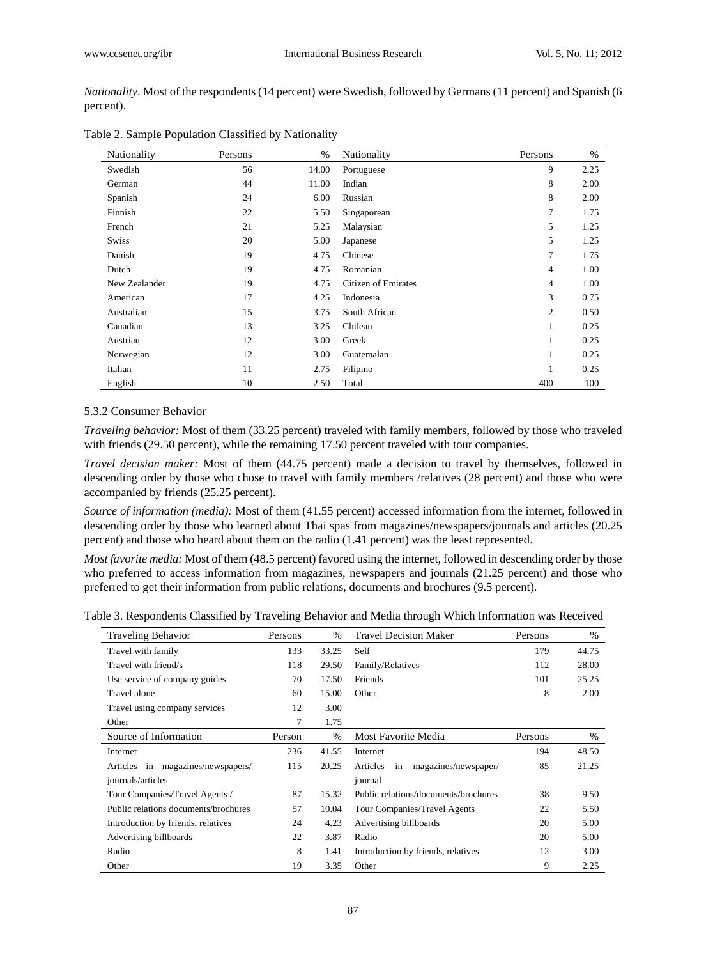*Nationality*. Most of the respondents (14 percent) were Swedish, followed by Germans (11 percent) and Spanish (6 percent).

| <b>Nationality</b> | Persons | $\%$  | Nationality                | Persons        | $\%$ |
|--------------------|---------|-------|----------------------------|----------------|------|
| Swedish            | 56      | 14.00 | Portuguese                 | 9              | 2.25 |
| German             | 44      | 11.00 | Indian                     | 8              | 2.00 |
| Spanish            | 24      | 6.00  | Russian                    | 8              | 2.00 |
| Finnish            | 22      | 5.50  | Singaporean                | $\tau$         | 1.75 |
| French             | 21      | 5.25  | Malaysian                  | 5              | 1.25 |
| Swiss              | 20      | 5.00  | Japanese                   | 5              | 1.25 |
| Danish             | 19      | 4.75  | Chinese                    | $\tau$         | 1.75 |
| Dutch              | 19      | 4.75  | Romanian                   | 4              | 1.00 |
| New Zealander      | 19      | 4.75  | <b>Citizen of Emirates</b> | $\overline{4}$ | 1.00 |
| American           | 17      | 4.25  | Indonesia                  | 3              | 0.75 |
| Australian         | 15      | 3.75  | South African              | 2              | 0.50 |
| Canadian           | 13      | 3.25  | Chilean                    | 1              | 0.25 |
| Austrian           | 12      | 3.00  | Greek                      | $\mathbf{1}$   | 0.25 |
| Norwegian          | 12      | 3.00  | Guatemalan                 | 1              | 0.25 |
| Italian            | 11      | 2.75  | Filipino                   | 1              | 0.25 |
| English            | 10      | 2.50  | Total                      | 400            | 100  |

#### 5.3.2 Consumer Behavior

*Traveling behavior:* Most of them (33.25 percent) traveled with family members, followed by those who traveled with friends (29.50 percent), while the remaining 17.50 percent traveled with tour companies.

*Travel decision maker:* Most of them (44.75 percent) made a decision to travel by themselves, followed in descending order by those who chose to travel with family members /relatives (28 percent) and those who were accompanied by friends (25.25 percent).

*Source of information (media):* Most of them (41.55 percent) accessed information from the internet, followed in descending order by those who learned about Thai spas from magazines/newspapers/journals and articles (20.25 percent) and those who heard about them on the radio (1.41 percent) was the least represented.

*Most favorite media:* Most of them (48.5 percent) favored using the internet, followed in descending order by those who preferred to access information from magazines, newspapers and journals (21.25 percent) and those who preferred to get their information from public relations, documents and brochures (9.5 percent).

| Table 3. Respondents Classified by Traveling Behavior and Media through Which Information was Received |  |  |
|--------------------------------------------------------------------------------------------------------|--|--|
|                                                                                                        |  |  |

| <b>Traveling Behavior</b>            | Persons | $\frac{0}{0}$ | <b>Travel Decision Maker</b>           | Persons | $\frac{0}{0}$ |
|--------------------------------------|---------|---------------|----------------------------------------|---------|---------------|
| Travel with family                   | 133     | 33.25         | Self                                   | 179     | 44.75         |
| Travel with friend/s                 | 118     | 29.50         | Family/Relatives                       | 112     | 28.00         |
| Use service of company guides        | 70      | 17.50         | Friends                                | 101     | 25.25         |
| Travel alone                         | 60      | 15.00         | Other                                  | 8       | 2.00          |
| Travel using company services        | 12      | 3.00          |                                        |         |               |
| Other                                | 7       | 1.75          |                                        |         |               |
| Source of Information                | Person  | $\frac{0}{0}$ | Most Favorite Media                    | Persons | $\%$          |
| Internet                             | 236     | 41.55         | Internet                               | 194     | 48.50         |
| Articles in magazines/newspapers/    | 115     | 20.25         | magazines/newspaper/<br>Articles<br>in | 85      | 21.25         |
| journals/articles                    |         |               | journal                                |         |               |
| Tour Companies/Travel Agents /       | 87      | 15.32         | Public relations/documents/brochures   | 38      | 9.50          |
| Public relations documents/brochures | 57      | 10.04         | Tour Companies/Travel Agents           | 22      | 5.50          |
| Introduction by friends, relatives   | 24      | 4.23          | Advertising billboards                 | 20      | 5.00          |
| Advertising billboards               | 22      | 3.87          | Radio                                  | 20      | 5.00          |
| Radio                                | 8       | 1.41          | Introduction by friends, relatives     | 12      | 3.00          |
| Other                                | 19      | 3.35          | Other                                  | 9       | 2.25          |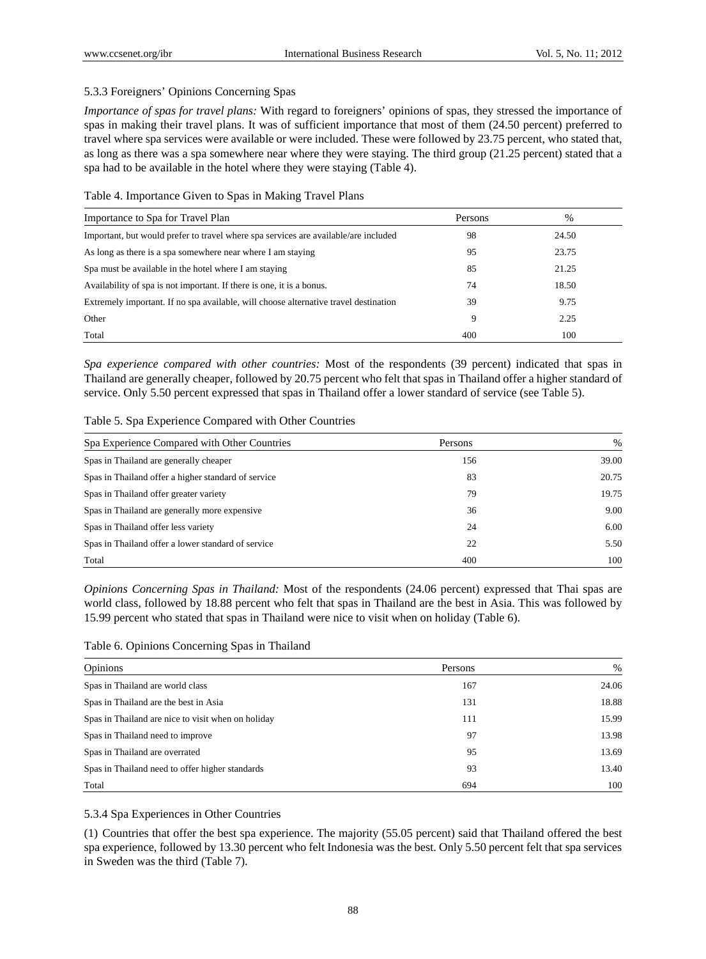## 5.3.3 Foreigners' Opinions Concerning Spas

*Importance of spas for travel plans:* With regard to foreigners' opinions of spas, they stressed the importance of spas in making their travel plans. It was of sufficient importance that most of them (24.50 percent) preferred to travel where spa services were available or were included. These were followed by 23.75 percent, who stated that, as long as there was a spa somewhere near where they were staying. The third group (21.25 percent) stated that a spa had to be available in the hotel where they were staying (Table 4).

## Table 4. Importance Given to Spas in Making Travel Plans

| Importance to Spa for Travel Plan                                                    | Persons | $\%$  |  |
|--------------------------------------------------------------------------------------|---------|-------|--|
| Important, but would prefer to travel where spa services are available/are included  | 98      | 24.50 |  |
| As long as there is a spa somewhere near where I am staying                          | 95      | 23.75 |  |
| Spa must be available in the hotel where I am staying                                | 85      | 21.25 |  |
| Availability of spa is not important. If there is one, it is a bonus.                | 74      | 18.50 |  |
| Extremely important. If no spa available, will choose alternative travel destination | 39      | 9.75  |  |
| Other                                                                                | 9       | 2.25  |  |
| Total                                                                                | 400     | 100   |  |

*Spa experience compared with other countries:* Most of the respondents (39 percent) indicated that spas in Thailand are generally cheaper, followed by 20.75 percent who felt that spas in Thailand offer a higher standard of service. Only 5.50 percent expressed that spas in Thailand offer a lower standard of service (see Table 5).

| Spa Experience Compared with Other Countries        | Persons | %     |
|-----------------------------------------------------|---------|-------|
| Spas in Thailand are generally cheaper              | 156     | 39.00 |
| Spas in Thailand offer a higher standard of service | 83      | 20.75 |
| Spas in Thailand offer greater variety              | 79      | 19.75 |
| Spas in Thailand are generally more expensive       | 36      | 9.00  |
| Spas in Thailand offer less variety                 | 24      | 6.00  |
| Spas in Thailand offer a lower standard of service  | 22      | 5.50  |
| Total                                               | 400     | 100   |

*Opinions Concerning Spas in Thailand:* Most of the respondents (24.06 percent) expressed that Thai spas are world class, followed by 18.88 percent who felt that spas in Thailand are the best in Asia. This was followed by 15.99 percent who stated that spas in Thailand were nice to visit when on holiday (Table 6).

Table 6. Opinions Concerning Spas in Thailand

| <b>Opinions</b>                                    | Persons | %     |
|----------------------------------------------------|---------|-------|
| Spas in Thailand are world class                   | 167     | 24.06 |
| Spas in Thailand are the best in Asia              | 131     | 18.88 |
| Spas in Thailand are nice to visit when on holiday | 111     | 15.99 |
| Spas in Thailand need to improve                   | 97      | 13.98 |
| Spas in Thailand are overrated                     | 95      | 13.69 |
| Spas in Thailand need to offer higher standards    | 93      | 13.40 |
| Total                                              | 694     | 100   |

5.3.4 Spa Experiences in Other Countries

(1) Countries that offer the best spa experience. The majority (55.05 percent) said that Thailand offered the best spa experience, followed by 13.30 percent who felt Indonesia was the best. Only 5.50 percent felt that spa services in Sweden was the third (Table 7).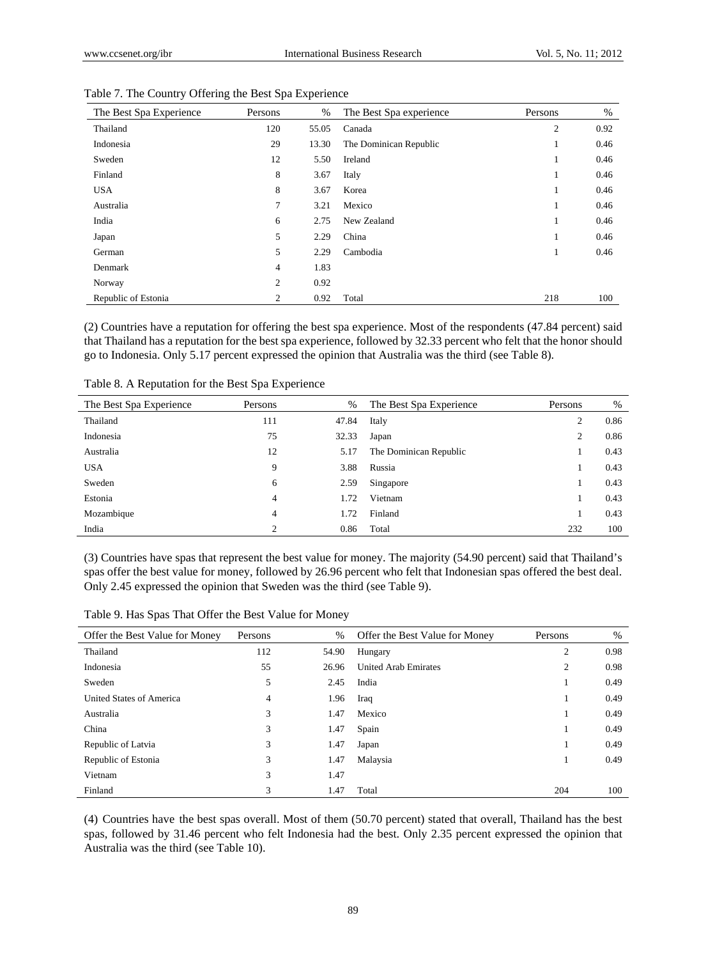| The Best Spa Experience | Persons | $\%$  | The Best Spa experience | Persons      | %    |
|-------------------------|---------|-------|-------------------------|--------------|------|
| Thailand                | 120     | 55.05 | Canada                  | 2            | 0.92 |
| Indonesia               | 29      | 13.30 | The Dominican Republic  | 1.           | 0.46 |
| Sweden                  | 12      | 5.50  | Ireland                 | $\mathbf{I}$ | 0.46 |
| Finland                 | 8       | 3.67  | Italy                   | $\mathbf{I}$ | 0.46 |
| <b>USA</b>              | 8       | 3.67  | Korea                   |              | 0.46 |
| Australia               | 7       | 3.21  | Mexico                  |              | 0.46 |
| India                   | 6       | 2.75  | New Zealand             | $\mathbf{I}$ | 0.46 |
| Japan                   | 5       | 2.29  | China                   | $\mathbf{I}$ | 0.46 |
| German                  | 5       | 2.29  | Cambodia                | T            | 0.46 |
| Denmark                 | 4       | 1.83  |                         |              |      |
| Norway                  | 2       | 0.92  |                         |              |      |
| Republic of Estonia     | 2       | 0.92  | Total                   | 218          | 100  |

Table 7. The Country Offering the Best Spa Experience

(2) Countries have a reputation for offering the best spa experience. Most of the respondents (47.84 percent) said that Thailand has a reputation for the best spa experience, followed by 32.33 percent who felt that the honor should go to Indonesia. Only 5.17 percent expressed the opinion that Australia was the third (see Table 8).

| The Best Spa Experience | Persons        | %     | The Best Spa Experience | Persons        | %    |
|-------------------------|----------------|-------|-------------------------|----------------|------|
| Thailand                | 111            | 47.84 | Italy                   | $\overline{2}$ | 0.86 |
| Indonesia               | 75             | 32.33 | Japan                   | $\overline{2}$ | 0.86 |
| Australia               | 12             | 5.17  | The Dominican Republic  |                | 0.43 |
| <b>USA</b>              | 9              | 3.88  | Russia                  |                | 0.43 |
| Sweden                  | 6              | 2.59  | Singapore               |                | 0.43 |
| Estonia                 | $\overline{4}$ | 1.72  | Vietnam                 |                | 0.43 |
| Mozambique              | $\overline{4}$ | 1.72  | Finland                 |                | 0.43 |
| India                   | $\overline{c}$ | 0.86  | Total                   | 232            | 100  |

Table 8. A Reputation for the Best Spa Experience

(3) Countries have spas that represent the best value for money. The majority (54.90 percent) said that Thailand's spas offer the best value for money, followed by 26.96 percent who felt that Indonesian spas offered the best deal. Only 2.45 expressed the opinion that Sweden was the third (see Table 9).

| Table 9. Has Spas That Offer the Best Value for Money |
|-------------------------------------------------------|
|-------------------------------------------------------|

| Offer the Best Value for Money | Persons | %     | Offer the Best Value for Money | Persons | %    |
|--------------------------------|---------|-------|--------------------------------|---------|------|
| Thailand                       | 112     | 54.90 | Hungary                        | 2       | 0.98 |
| Indonesia                      | 55      | 26.96 | <b>United Arab Emirates</b>    | 2       | 0.98 |
| Sweden                         | 5       | 2.45  | India                          |         | 0.49 |
| United States of America       | 4       | 1.96  | Iraq                           | л.      | 0.49 |
| Australia                      | 3       | 1.47  | Mexico                         |         | 0.49 |
| China                          | 3       | 1.47  | Spain                          |         | 0.49 |
| Republic of Latvia             | 3       | 1.47  | Japan                          |         | 0.49 |
| Republic of Estonia            | 3       | 1.47  | Malaysia                       |         | 0.49 |
| Vietnam                        | 3       | 1.47  |                                |         |      |
| Finland                        | 3       | 1.47  | Total                          | 204     | 100  |

(4) Countries have the best spas overall. Most of them (50.70 percent) stated that overall, Thailand has the best spas, followed by 31.46 percent who felt Indonesia had the best. Only 2.35 percent expressed the opinion that Australia was the third (see Table 10).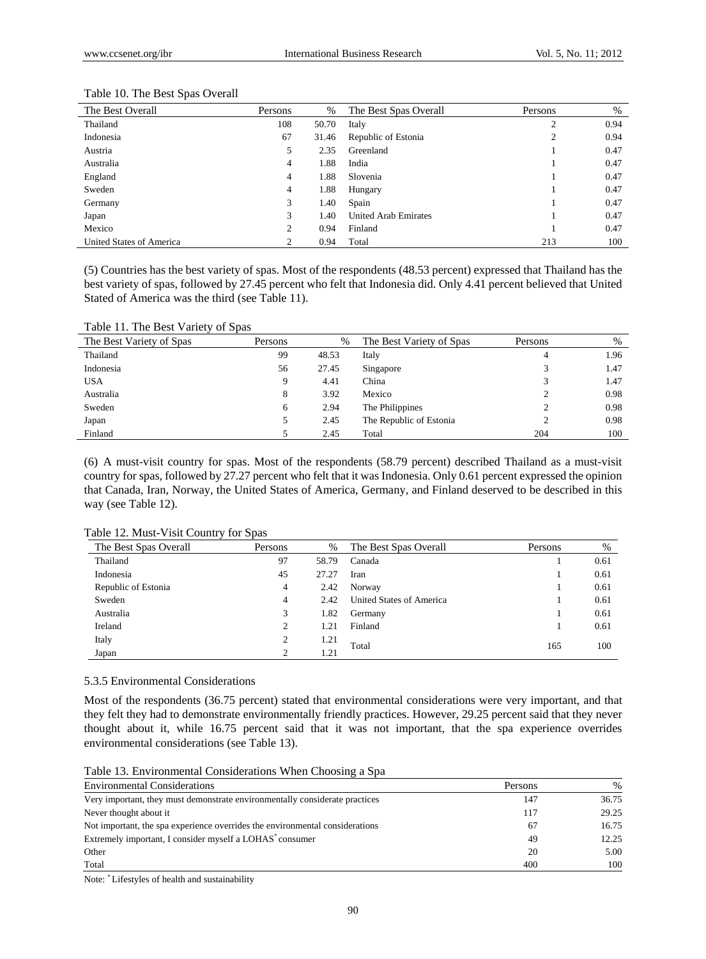| The Best Overall         | Persons        | %     | The Best Spas Overall       | Persons        | %    |
|--------------------------|----------------|-------|-----------------------------|----------------|------|
| Thailand                 | 108            | 50.70 | Italy                       | $\overline{c}$ | 0.94 |
| Indonesia                | 67             | 31.46 | Republic of Estonia         | 2              | 0.94 |
| Austria                  | 5              | 2.35  | Greenland                   |                | 0.47 |
| Australia                | 4              | 1.88  | India                       |                | 0.47 |
| England                  | $\overline{4}$ | 1.88  | Slovenia                    |                | 0.47 |
| Sweden                   | 4              | 1.88  | Hungary                     |                | 0.47 |
| Germany                  | 3              | 1.40  | Spain                       |                | 0.47 |
| Japan                    | 3              | 1.40  | <b>United Arab Emirates</b> |                | 0.47 |
| Mexico                   | 2              | 0.94  | Finland                     |                | 0.47 |
| United States of America |                | 0.94  | Total                       | 213            | 100  |

#### Table 10. The Best Spas Overall

(5) Countries has the best variety of spas. Most of the respondents (48.53 percent) expressed that Thailand has the best variety of spas, followed by 27.45 percent who felt that Indonesia did. Only 4.41 percent believed that United Stated of America was the third (see Table 11).

Table 11. The Best Variety of Spas

| The Best Variety of Spas | Persons | %     | The Best Variety of Spas | Persons | $\%$ |
|--------------------------|---------|-------|--------------------------|---------|------|
| Thailand                 | 99      | 48.53 | Italy                    | 4       | 1.96 |
| Indonesia                | 56      | 27.45 | Singapore                |         | 1.47 |
| <b>USA</b>               | 9       | 4.41  | China                    | 3       | 1.47 |
| Australia                | 8       | 3.92  | Mexico                   |         | 0.98 |
| Sweden                   | 6       | 2.94  | The Philippines          |         | 0.98 |
| Japan                    | 5.      | 2.45  | The Republic of Estonia  |         | 0.98 |
| Finland                  |         | 2.45  | Total                    | 204     | 100  |

(6) A must-visit country for spas. Most of the respondents (58.79 percent) described Thailand as a must-visit country for spas, followed by 27.27 percent who felt that it was Indonesia. Only 0.61 percent expressed the opinion that Canada, Iran, Norway, the United States of America, Germany, and Finland deserved to be described in this way (see Table 12).

| Table 12. Must-Visit Country for Spas |  |  |  |  |
|---------------------------------------|--|--|--|--|
|---------------------------------------|--|--|--|--|

| The Best Spas Overall | Persons | %     | The Best Spas Overall    | Persons | %    |
|-----------------------|---------|-------|--------------------------|---------|------|
| Thailand              | 97      | 58.79 | Canada                   |         | 0.61 |
| Indonesia             | 45      | 27.27 | Iran                     |         | 0.61 |
| Republic of Estonia   | 4       | 2.42  | Norway                   |         | 0.61 |
| Sweden                | 4       | 2.42  | United States of America |         | 0.61 |
| Australia             | 3       | 1.82  | Germany                  |         | 0.61 |
| Ireland               |         | 1.21  | Finland                  |         | 0.61 |
| Italy                 |         | 1.21  | Total                    | 165     | 100  |
| Japan                 |         | 1.21  |                          |         |      |

# 5.3.5 Environmental Considerations

Most of the respondents (36.75 percent) stated that environmental considerations were very important, and that they felt they had to demonstrate environmentally friendly practices. However, 29.25 percent said that they never thought about it, while 16.75 percent said that it was not important, that the spa experience overrides environmental considerations (see Table 13).

Table 13. Environmental Considerations When Choosing a Spa

| <b>Environmental Considerations</b>                                          | Persons | $\%$  |
|------------------------------------------------------------------------------|---------|-------|
| Very important, they must demonstrate environmentally considerate practices  | 147     | 36.75 |
| Never thought about it                                                       | 117     | 29.25 |
| Not important, the spa experience overrides the environmental considerations | 67      | 16.75 |
| Extremely important, I consider myself a LOHAS <sup>*</sup> consumer         | 49      | 12.25 |
| Other                                                                        | 20      | 5.00  |
| Total                                                                        | 400     | 100   |

Note: \* Lifestyles of health and sustainability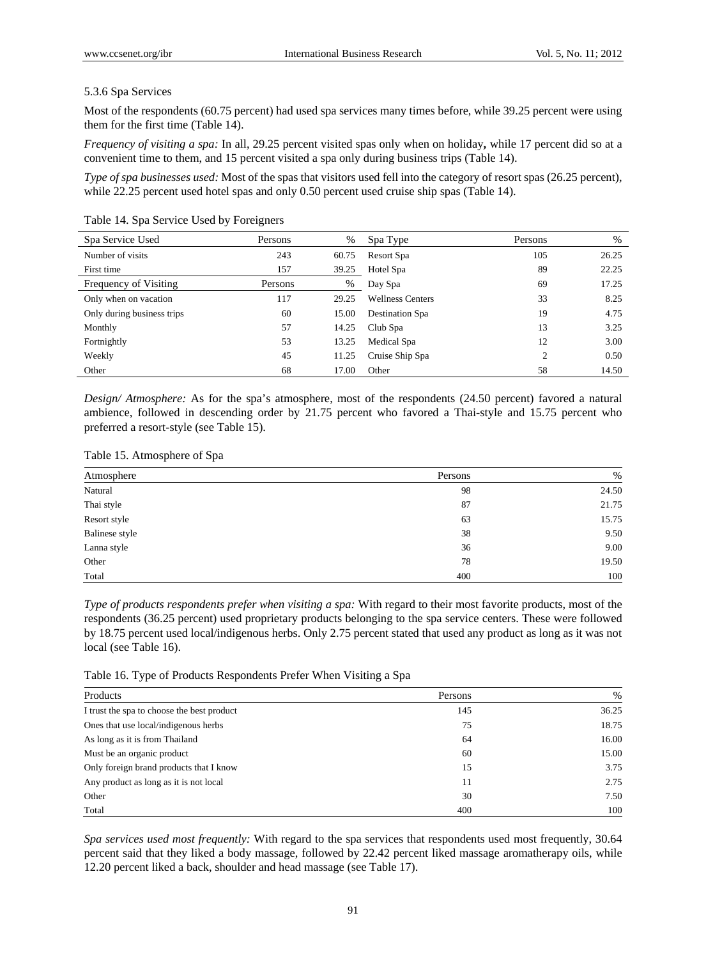## 5.3.6 Spa Services

Most of the respondents (60.75 percent) had used spa services many times before, while 39.25 percent were using them for the first time (Table 14).

*Frequency of visiting a spa:* In all, 29.25 percent visited spas only when on holiday**,** while 17 percent did so at a convenient time to them, and 15 percent visited a spa only during business trips (Table 14).

*Type of spa businesses used:* Most of the spas that visitors used fell into the category of resort spas (26.25 percent), while 22.25 percent used hotel spas and only 0.50 percent used cruise ship spas (Table 14).

| Spa Service Used           | Persons | $\%$  | Spa Type                | Persons | $\%$  |
|----------------------------|---------|-------|-------------------------|---------|-------|
| Number of visits           | 243     | 60.75 | Resort Spa              | 105     | 26.25 |
| First time                 | 157     | 39.25 | Hotel Spa               | 89      | 22.25 |
| Frequency of Visiting      | Persons | %     | Day Spa                 | 69      | 17.25 |
| Only when on vacation      | 117     | 29.25 | <b>Wellness Centers</b> | 33      | 8.25  |
| Only during business trips | 60      | 15.00 | Destination Spa         | 19      | 4.75  |
| Monthly                    | 57      | 14.25 | Club Spa                | 13      | 3.25  |
| Fortnightly                | 53      | 13.25 | Medical Spa             | 12      | 3.00  |
| Weekly                     | 45      | 11.25 | Cruise Ship Spa         | 2       | 0.50  |
| Other                      | 68      | 17.00 | Other                   | 58      | 14.50 |

Table 14. Spa Service Used by Foreigners

*Design/ Atmosphere:* As for the spa's atmosphere, most of the respondents (24.50 percent) favored a natural ambience, followed in descending order by 21.75 percent who favored a Thai-style and 15.75 percent who preferred a resort-style (see Table 15).

|  |  |  |  | Table 15. Atmosphere of Spa |
|--|--|--|--|-----------------------------|
|--|--|--|--|-----------------------------|

| Atmosphere     | Persons | %     |
|----------------|---------|-------|
| Natural        | 98      | 24.50 |
| Thai style     | 87      | 21.75 |
| Resort style   | 63      | 15.75 |
| Balinese style | 38      | 9.50  |
| Lanna style    | 36      | 9.00  |
| Other          | 78      | 19.50 |
| Total          | 400     | 100   |

*Type of products respondents prefer when visiting a spa:* With regard to their most favorite products, most of the respondents (36.25 percent) used proprietary products belonging to the spa service centers. These were followed by 18.75 percent used local/indigenous herbs. Only 2.75 percent stated that used any product as long as it was not local (see Table 16).

Table 16. Type of Products Respondents Prefer When Visiting a Spa

| Products                                   | Persons | $\%$  |
|--------------------------------------------|---------|-------|
| I trust the spa to choose the best product | 145     | 36.25 |
| Ones that use local/indigenous herbs       | 75      | 18.75 |
| As long as it is from Thailand             | 64      | 16.00 |
| Must be an organic product                 | 60      | 15.00 |
| Only foreign brand products that I know    | 15      | 3.75  |
| Any product as long as it is not local     | 11      | 2.75  |
| Other                                      | 30      | 7.50  |
| Total                                      | 400     | 100   |

*Spa services used most frequently:* With regard to the spa services that respondents used most frequently, 30.64 percent said that they liked a body massage, followed by 22.42 percent liked massage aromatherapy oils, while 12.20 percent liked a back, shoulder and head massage (see Table 17).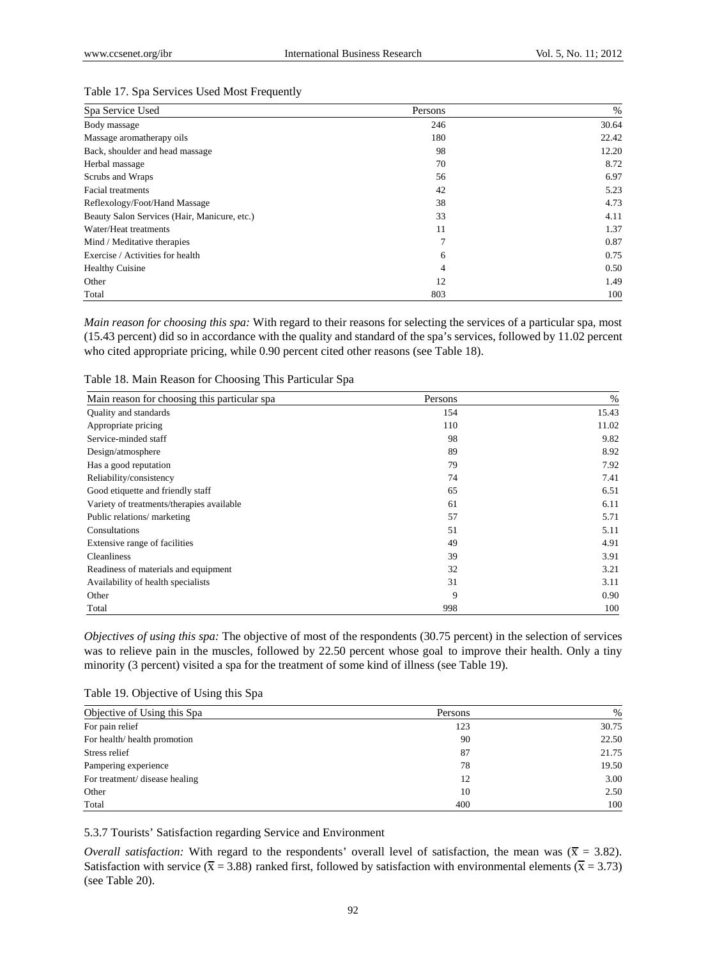#### Table 17. Spa Services Used Most Frequently

| Spa Service Used                             | Persons | %     |
|----------------------------------------------|---------|-------|
| Body massage                                 | 246     | 30.64 |
| Massage aromatherapy oils                    | 180     | 22.42 |
| Back, shoulder and head massage              | 98      | 12.20 |
| Herbal massage                               | 70      | 8.72  |
| Scrubs and Wraps                             | 56      | 6.97  |
| <b>Facial treatments</b>                     | 42      | 5.23  |
| Reflexology/Foot/Hand Massage                | 38      | 4.73  |
| Beauty Salon Services (Hair, Manicure, etc.) | 33      | 4.11  |
| Water/Heat treatments                        | 11      | 1.37  |
| Mind / Meditative therapies                  | 7       | 0.87  |
| Exercise / Activities for health             | 6       | 0.75  |
| <b>Healthy Cuisine</b>                       | 4       | 0.50  |
| Other                                        | 12      | 1.49  |
| Total                                        | 803     | 100   |

*Main reason for choosing this spa:* With regard to their reasons for selecting the services of a particular spa, most (15.43 percent) did so in accordance with the quality and standard of the spa's services, followed by 11.02 percent who cited appropriate pricing, while 0.90 percent cited other reasons (see Table 18).

Table 18. Main Reason for Choosing This Particular Spa

| Main reason for choosing this particular spa | Persons | %     |
|----------------------------------------------|---------|-------|
| Quality and standards                        | 154     | 15.43 |
| Appropriate pricing                          | 110     | 11.02 |
| Service-minded staff                         | 98      | 9.82  |
| Design/atmosphere                            | 89      | 8.92  |
| Has a good reputation                        | 79      | 7.92  |
| Reliability/consistency                      | 74      | 7.41  |
| Good etiquette and friendly staff            | 65      | 6.51  |
| Variety of treatments/therapies available    | 61      | 6.11  |
| Public relations/ marketing                  | 57      | 5.71  |
| Consultations                                | 51      | 5.11  |
| Extensive range of facilities                | 49      | 4.91  |
| Cleanliness                                  | 39      | 3.91  |
| Readiness of materials and equipment         | 32      | 3.21  |
| Availability of health specialists           | 31      | 3.11  |
| Other                                        | 9       | 0.90  |
| Total                                        | 998     | 100   |

*Objectives of using this spa:* The objective of most of the respondents (30.75 percent) in the selection of services was to relieve pain in the muscles, followed by 22.50 percent whose goal to improve their health. Only a tiny minority (3 percent) visited a spa for the treatment of some kind of illness (see Table 19).

Table 19. Objective of Using this Spa

| Objective of Using this Spa    | Persons | $\%$  |
|--------------------------------|---------|-------|
| For pain relief                | 123     | 30.75 |
| For health/health promotion    | 90      | 22.50 |
| Stress relief                  | 87      | 21.75 |
| Pampering experience           | 78      | 19.50 |
| For treatment/ disease healing | 12      | 3.00  |
| Other                          | 10      | 2.50  |
| Total                          | 400     | 100   |

5.3.7 Tourists' Satisfaction regarding Service and Environment

*Overall satisfaction:* With regard to the respondents' overall level of satisfaction, the mean was ( $\bar{x}$  = 3.82). Satisfaction with service ( $\overline{x}$  = 3.88) ranked first, followed by satisfaction with environmental elements ( $\overline{x}$  = 3.73) (see Table 20).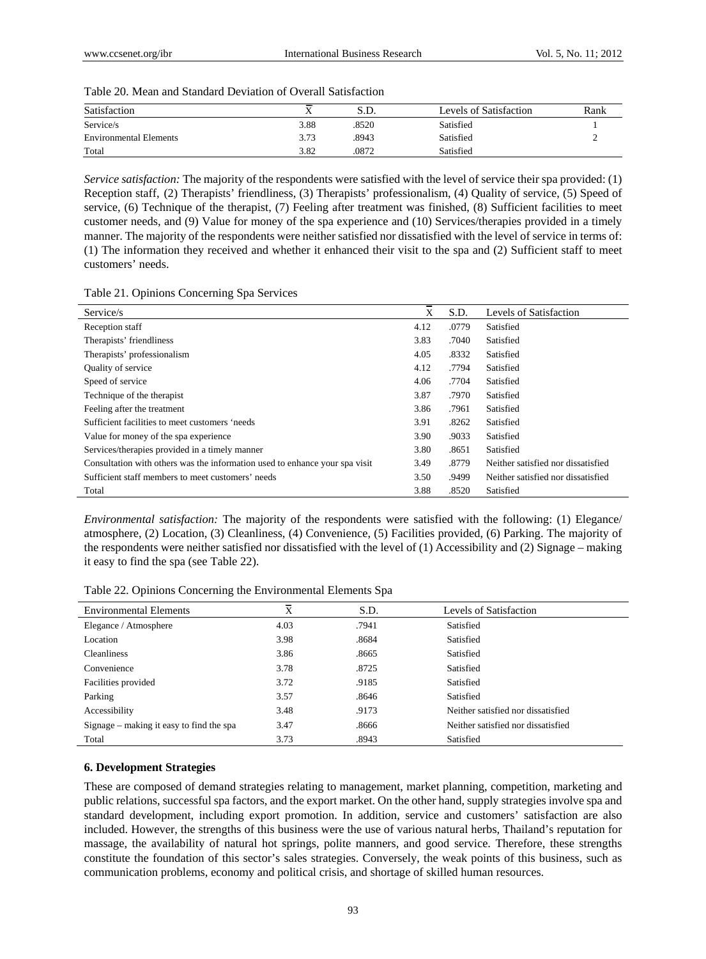| Table 20. Mean and Standard Deviation of Overall Satisfaction |
|---------------------------------------------------------------|
|                                                               |

| Satisfaction                  | -    | S.D.  | Levels of Satisfaction | Rank |
|-------------------------------|------|-------|------------------------|------|
| Service/s                     | 3.88 | .8520 | Satisfied              |      |
| <b>Environmental Elements</b> | 3.73 | .8943 | Satisfied              |      |
| Total                         | 3.82 | .0872 | Satisfied              |      |

*Service satisfaction:* The majority of the respondents were satisfied with the level of service their spa provided: (1) Reception staff, (2) Therapists' friendliness, (3) Therapists' professionalism, (4) Quality of service, (5) Speed of service, (6) Technique of the therapist, (7) Feeling after treatment was finished, (8) Sufficient facilities to meet customer needs, and (9) Value for money of the spa experience and (10) Services/therapies provided in a timely manner. The majority of the respondents were neither satisfied nor dissatisfied with the level of service in terms of: (1) The information they received and whether it enhanced their visit to the spa and (2) Sufficient staff to meet customers' needs.

| Service/s                                                                   | X    | S.D.  | Levels of Satisfaction             |
|-----------------------------------------------------------------------------|------|-------|------------------------------------|
| Reception staff                                                             | 4.12 | .0779 | Satisfied                          |
| Therapists' friendliness                                                    | 3.83 | .7040 | Satisfied                          |
| Therapists' professionalism                                                 | 4.05 | .8332 | Satisfied                          |
| Quality of service                                                          | 4.12 | .7794 | Satisfied                          |
| Speed of service                                                            | 4.06 | .7704 | Satisfied                          |
| Technique of the therapist                                                  | 3.87 | .7970 | Satisfied                          |
| Feeling after the treatment                                                 | 3.86 | .7961 | Satisfied                          |
| Sufficient facilities to meet customers 'needs                              | 3.91 | .8262 | Satisfied                          |
| Value for money of the spa experience                                       | 3.90 | .9033 | Satisfied                          |
| Services/therapies provided in a timely manner                              | 3.80 | .8651 | Satisfied                          |
| Consultation with others was the information used to enhance your spa visit | 3.49 | .8779 | Neither satisfied nor dissatisfied |
| Sufficient staff members to meet customers' needs                           | 3.50 | .9499 | Neither satisfied nor dissatisfied |
| Total                                                                       | 3.88 | .8520 | Satisfied                          |

*Environmental satisfaction:* The majority of the respondents were satisfied with the following: (1) Elegance/ atmosphere, (2) Location, (3) Cleanliness, (4) Convenience, (5) Facilities provided, (6) Parking. The majority of the respondents were neither satisfied nor dissatisfied with the level of (1) Accessibility and (2) Signage – making it easy to find the spa (see Table 22).

Table 22. Opinions Concerning the Environmental Elements Spa

| <b>Environmental Elements</b>            | $\overline{\mathbf{x}}$ | S.D.  | Levels of Satisfaction             |
|------------------------------------------|-------------------------|-------|------------------------------------|
| Elegance / Atmosphere                    | 4.03                    | .7941 | Satisfied                          |
| Location                                 | 3.98                    | .8684 | Satisfied                          |
| <b>Cleanliness</b>                       | 3.86                    | .8665 | Satisfied                          |
| Convenience                              | 3.78                    | .8725 | Satisfied                          |
| Facilities provided                      | 3.72                    | .9185 | Satisfied                          |
| Parking                                  | 3.57                    | .8646 | Satisfied                          |
| Accessibility                            | 3.48                    | .9173 | Neither satisfied nor dissatisfied |
| Signage – making it easy to find the spa | 3.47                    | .8666 | Neither satisfied nor dissatisfied |
| Total                                    | 3.73                    | .8943 | Satisfied                          |

#### **6. Development Strategies**

These are composed of demand strategies relating to management, market planning, competition, marketing and public relations, successful spa factors, and the export market. On the other hand, supply strategies involve spa and standard development, including export promotion. In addition, service and customers' satisfaction are also included. However, the strengths of this business were the use of various natural herbs, Thailand's reputation for massage, the availability of natural hot springs, polite manners, and good service. Therefore, these strengths constitute the foundation of this sector's sales strategies. Conversely, the weak points of this business, such as communication problems, economy and political crisis, and shortage of skilled human resources.